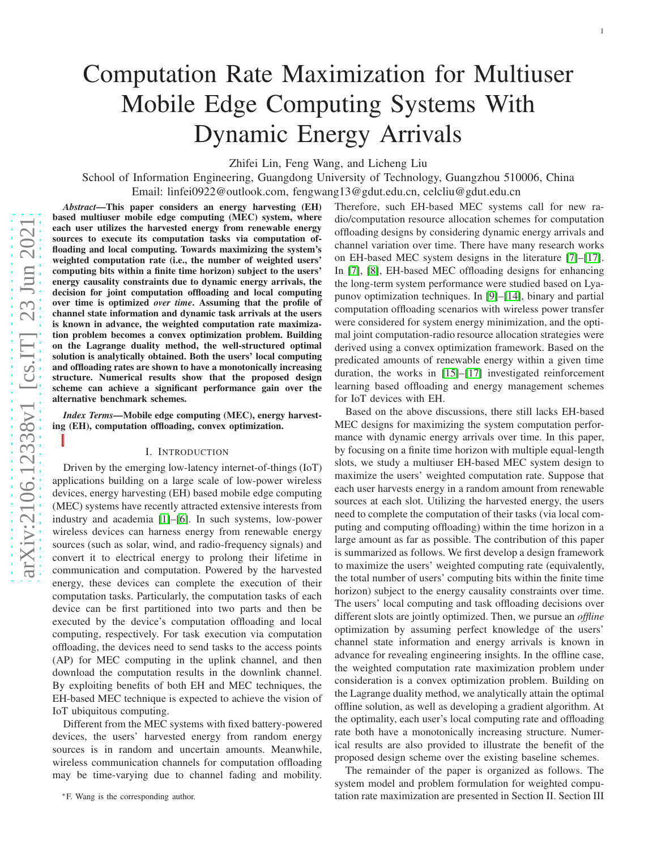# Computation Rate Maximization for Multiuser Mobile Edge Computing Systems With Dynamic Energy Arrivals

Zhifei Lin, Feng Wang, and Licheng Liu

School of Information Engineering, Guangdong University of Technology, Guangzhou 510006, China Email: linfei0922@outlook.com, fengwang13@gdut.edu.cn, celcliu@gdut.edu.cn

*Abstract*—This paper considers an energy harvesting (EH) based multiuser mobile edge computing (MEC) system, where each user utilizes the harvested energy from renewable energy sources to execute its computation tasks via computation offloading and local computing. Towards maximizing the system's weighted computation rate (i.e., the number of weighted users' computing bits within a finite time horizon) subject to the users' energy causality constraints due to dynamic energy arrivals, the decision for joint computation offloading and local computing over time is optimized *over time*. Assuming that the profile of channel state information and dynamic task arrivals at the users is known in advance, the weighted computation rate maximiza tion problem becomes a convex optimization problem. Building on the Lagrange duality method, the well-structured optima l solution is analytically obtained. Both the users' local computing and offloading rates are shown to have a monotonically increasing structure. Numerical results show that the proposed design scheme can achieve a significant performance gain over the alternative benchmark schemes.

*Index Terms*—Mobile edge computing (MEC), energy harvesting (EH), computation offloading, convex optimization.

### I. INTRODUCTION

Driven by the emerging low-latency internet-of-things (IoT) applications building on a large scale of low-power wireles s devices, energy harvesting (EH) based mobile edge computin g (MEC) systems have recently attracted extensive interests from industry and academia [\[1\]](#page-4-0)–[\[6\]](#page-4-1). In such systems, low-power wireless devices can harness energy from renewable energy sources (such as solar, wind, and radio-frequency signals) and convert it to electrical energy to prolong their lifetime in communication and computation. Powered by the harvested energy, these devices can complete the execution of their computation tasks. Particularly, the computation tasks of each device can be first partitioned into two parts and then be executed by the device's computation offloading and local computing, respectively. For task execution via computation offloading, the devices need to send tasks to the access point s (AP) for MEC computing in the uplink channel, and then download the computation results in the downlink channel. By exploiting benefits of both EH and MEC techniques, the EH-based MEC technique is expected to achieve the vision of IoT ubiquitous computing.

Different from the MEC systems with fixed battery-powered devices, the users' harvested energy from random energy sources is in random and uncertain amounts. Meanwhile, wireless communication channels for computation offloadin g may be time-varying due to channel fading and mobility. Therefore, such EH-based MEC systems call for new radio/computation resource allocation schemes for computation offloading designs by considering dynamic energy arrivals and channel variation over time. There have many research works on EH-based MEC system designs in the literature [\[7\]](#page-4-2)–[\[17\]](#page-4-3). In [\[7\]](#page-4-2), [\[8\]](#page-4-4), EH-based MEC offloading designs for enhancing the long-term system performance were studied based on Lyapunov optimization techniques. In [\[9\]](#page-4-5)–[\[14\]](#page-4-6), binary and partial computation offloading scenarios with wireless power transfer were considered for system energy minimization, and the optimal joint computation-radio resource allocation strategies were derived using a convex optimization framework. Based on the predicated amounts of renewable energy within a given time duration, the works in [\[15\]](#page-4-7)–[\[17\]](#page-4-3) investigated reinforcement learning based offloading and energy management schemes for IoT devices with EH.

Based on the above discussions, there still lacks EH-based MEC designs for maximizing the system computation performance with dynamic energy arrivals over time. In this paper, by focusing on a finite time horizon with multiple equal-length slots, we study a multiuser EH-based MEC system design to maximize the users' weighted computation rate. Suppose tha t each user harvests energy in a random amount from renewable sources at each slot. Utilizing the harvested energy, the users need to complete the computation of their tasks (via local computing and computing offloading) within the time horizon in a large amount as far as possible. The contribution of this paper is summarized as follows. We first develop a design framework to maximize the users' weighted computing rate (equivalently, the total number of users' computing bits within the finite time horizon) subject to the energy causality constraints over time. The users' local computing and task offloading decisions ove r different slots are jointly optimized. Then, we pursue an *offline* optimization by assuming perfect knowledge of the users' channel state information and energy arrivals is known in advance for revealing engineering insights. In the offline case, the weighted computation rate maximization problem under consideration is a convex optimization problem. Building o n the Lagrange duality method, we analytically attain the optimal offline solution, as well as developing a gradient algorithm. At the optimality, each user's local computing rate and offloading rate both have a monotonically increasing structure. Numer ical results are also provided to illustrate the benefit of th e proposed design scheme over the existing baseline schemes.

The remainder of the paper is organized as follows. The system model and problem formulation for weighted computation rate maximization are presented in Section II. Section III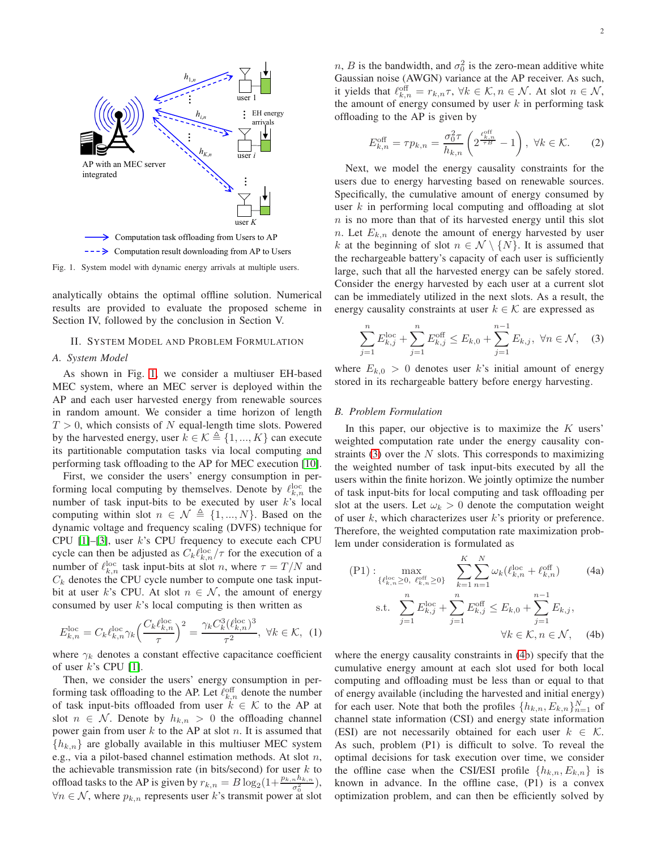

<span id="page-1-0"></span>Fig. 1. System model with dynamic energy arrivals at multiple users.

analytically obtains the optimal offline solution. Numerical results are provided to evaluate the proposed scheme in Section IV, followed by the conclusion in Section V.

#### II. SYSTEM MODEL AND PROBLEM FORMULATION

# *A. System Model*

As shown in Fig. [1,](#page-1-0) we consider a multiuser EH-based MEC system, where an MEC server is deployed within the AP and each user harvested energy from renewable sources in random amount. We consider a time horizon of length  $T > 0$ , which consists of N equal-length time slots. Powered by the harvested energy, user  $k \in \mathcal{K} \triangleq \{1, ..., K\}$  can execute its partitionable computation tasks via local computing and performing task offloading to the AP for MEC execution [\[10\]](#page-4-8).

First, we consider the users' energy consumption in performing local computing by themselves. Denote by  $\ell_{k,n}^{\text{loc}}$  the number of task input-bits to be executed by user  $k$ 's local computing within slot  $n \in \mathcal{N} \triangleq \{1, ..., N\}$ . Based on the dynamic voltage and frequency scaling (DVFS) technique for CPU  $[1]-[3]$  $[1]-[3]$  $[1]-[3]$ , user  $k$ 's CPU frequency to execute each CPU cycle can then be adjusted as  $C_k \ell_{k,n}^{\text{loc}}/\tau$  for the execution of a number of  $\ell_{k,n}^{\text{loc}}$  task input-bits at slot *n*, where  $\tau = T/N$  and  $C_k$  denotes the CPU cycle number to compute one task inputbit at user k's CPU. At slot  $n \in \mathcal{N}$ , the amount of energy consumed by user  $k$ 's local computing is then written as

$$
E_{k,n}^{\text{loc}} = C_k \ell_{k,n}^{\text{loc}} \gamma_k \left(\frac{C_k \ell_{k,n}^{\text{loc}}}{\tau}\right)^2 = \frac{\gamma_k C_k^3 (\ell_{k,n}^{\text{loc}})^3}{\tau^2}, \ \forall k \in \mathcal{K}, \ (1)
$$

where  $\gamma_k$  denotes a constant effective capacitance coefficient of user  $k$ 's CPU [\[1\]](#page-4-0).

Then, we consider the users' energy consumption in performing task offloading to the AP. Let  $\ell_{k,n}^{\text{off}}$  denote the number of task input-bits offloaded from user  $k \in \mathcal{K}$  to the AP at slot  $n \in \mathcal{N}$ . Denote by  $h_{k,n} > 0$  the offloading channel power gain from user  $k$  to the AP at slot  $n$ . It is assumed that  ${h_{k,n}}$  are globally available in this multiuser MEC system e.g., via a pilot-based channel estimation methods. At slot  $n$ , the achievable transmission rate (in bits/second) for user  $k$  to offload tasks to the AP is given by  $r_{k,n} = B \log_2\left(1 + \frac{p_{k,n} h_{k,n}}{\sigma_0^2}\right)$ ,  $\forall n \in \mathcal{N}$ , where  $p_{k,n}$  represents user k's transmit power at slot *n*, *B* is the bandwidth, and  $\sigma_0^2$  is the zero-mean additive white Gaussian noise (AWGN) variance at the AP receiver. As such, it yields that  $\ell_{k,n}^{\text{off}} = r_{k,n}\tau$ ,  $\forall k \in \mathcal{K}, n \in \mathcal{N}$ . At slot  $n \in \mathcal{N}$ , the amount of energy consumed by user  $k$  in performing task offloading to the AP is given by

$$
E_{k,n}^{\text{off}} = \tau p_{k,n} = \frac{\sigma_0^2 \tau}{h_{k,n}} \left( 2^{\frac{\ell_{k,n}^{\text{off}}}{\tau B}} - 1 \right), \ \forall k \in \mathcal{K}.
$$
 (2)

Next, we model the energy causality constraints for the users due to energy harvesting based on renewable sources. Specifically, the cumulative amount of energy consumed by user  $k$  in performing local computing and offloading at slot  $n$  is no more than that of its harvested energy until this slot n. Let  $E_{k,n}$  denote the amount of energy harvested by user k at the beginning of slot  $n \in \mathcal{N} \setminus \{N\}$ . It is assumed that the rechargeable battery's capacity of each user is sufficiently large, such that all the harvested energy can be safely stored. Consider the energy harvested by each user at a current slot can be immediately utilized in the next slots. As a result, the energy causality constraints at user  $k \in \mathcal{K}$  are expressed as

<span id="page-1-1"></span>
$$
\sum_{j=1}^{n} E_{k,j}^{\text{loc}} + \sum_{j=1}^{n} E_{k,j}^{\text{off}} \le E_{k,0} + \sum_{j=1}^{n-1} E_{k,j}, \ \forall n \in \mathcal{N}, \quad (3)
$$

where  $E_{k,0} > 0$  denotes user k's initial amount of energy stored in its rechargeable battery before energy harvesting.

### *B. Problem Formulation*

In this paper, our objective is to maximize the  $K$  users' weighted computation rate under the energy causality constraints  $(3)$  over the N slots. This corresponds to maximizing the weighted number of task input-bits executed by all the users within the finite horizon. We jointly optimize the number of task input-bits for local computing and task offloading per slot at the users. Let  $\omega_k > 0$  denote the computation weight of user  $k$ , which characterizes user  $k$ 's priority or preference. Therefore, the weighted computation rate maximization problem under consideration is formulated as

<span id="page-1-2"></span>
$$
\text{(P1)}: \max_{\{\ell_{k,n}^{\text{loc}}\geq 0, \ \ell_{k,n}^{\text{eff}}\geq 0\}} \sum_{k=1}^{K} \sum_{n=1}^{N} \omega_k(\ell_{k,n}^{\text{loc}} + \ell_{k,n}^{\text{off}}) \tag{4a}
$$
\n
$$
\text{s.t. } \sum_{j=1}^{n} E_{k,j}^{\text{loc}} + \sum_{j=1}^{n} E_{k,j}^{\text{off}} \leq E_{k,0} + \sum_{j=1}^{n-1} E_{k,j},
$$
\n
$$
\forall k \in \mathcal{K}, n \in \mathcal{N}, \quad \text{(4b)}
$$

where the energy causality constraints in [\(4b](#page-1-2)) specify that the cumulative energy amount at each slot used for both local computing and offloading must be less than or equal to that of energy available (including the harvested and initial energy) for each user. Note that both the profiles  $\{h_{k,n}, E_{k,n}\}_{n=1}^N$  of channel state information (CSI) and energy state information (ESI) are not necessarily obtained for each user  $k \in \mathcal{K}$ . As such, problem (P1) is difficult to solve. To reveal the optimal decisions for task execution over time, we consider the offline case when the CSI/ESI profile  $\{h_{k,n}, E_{k,n}\}\$ is known in advance. In the offline case, (P1) is a convex optimization problem, and can then be efficiently solved by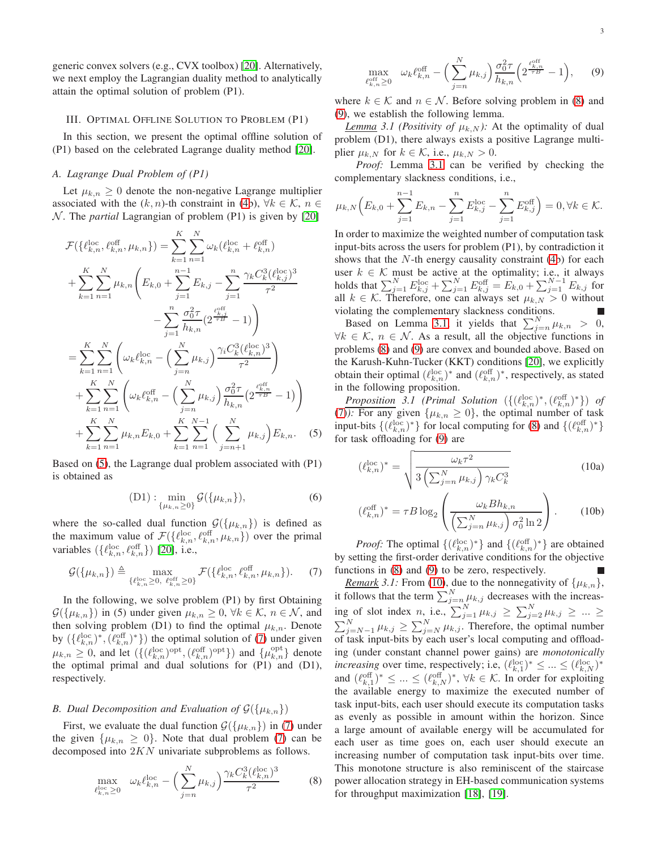generic convex solvers (e.g., CVX toolbox) [\[20\]](#page-4-10). Alternatively, we next employ the Lagrangian duality method to analytically attain the optimal solution of problem (P1).

# III. OPTIMAL OFFLINE SOLUTION TO PROBLEM (P1)

In this section, we present the optimal offline solution of (P1) based on the celebrated Lagrange duality method [\[20\]](#page-4-10).

# *A. Lagrange Dual Problem of (P1)*

Let  $\mu_{k,n} \geq 0$  denote the non-negative Lagrange multiplier associated with the  $(k, n)$ -th constraint in [\(4b](#page-1-2)),  $\forall k \in \mathcal{K}$ ,  $n \in$ N. The *partial* Lagrangian of problem (P1) is given by [\[20\]](#page-4-10)

$$
\mathcal{F}(\{\ell_{k,n}^{\text{loc}}, \ell_{k,n}^{\text{off}}, \mu_{k,n}\}) = \sum_{k=1}^{K} \sum_{n=1}^{N} \omega_k (\ell_{k,n}^{\text{loc}} + \ell_{k,n}^{\text{off}})
$$
  
+ 
$$
\sum_{k=1}^{K} \sum_{n=1}^{N} \mu_{k,n} \left( E_{k,0} + \sum_{j=1}^{n-1} E_{k,j} - \sum_{j=1}^{n} \frac{\gamma_k C_k^3 (\ell_{k,j}^{\text{loc}})^3}{\tau^2} - \sum_{j=1}^{n} \frac{\sigma_0^2 \tau}{h_{k,n}} (2^{\frac{\ell_{k,j}^{\text{off}}}{\tau B}} - 1) \right)
$$
  
= 
$$
\sum_{k=1}^{K} \sum_{n=1}^{N} \left( \omega_k \ell_{k,n}^{\text{loc}} - \left( \sum_{j=n}^{N} \mu_{k,j} \right) \frac{\gamma_i C_k^3 (\ell_{k,n}^{\text{loc}})^3}{\tau^2} \right)
$$
  
+ 
$$
\sum_{k=1}^{K} \sum_{n=1}^{N} \left( \omega_k \ell_{k,n}^{\text{off}} - \left( \sum_{j=n}^{N} \mu_{k,j} \right) \frac{\sigma_0^2 \tau}{h_{k,n}} (2^{\frac{\ell_{k,n}^{\text{off}}}{\tau B}} - 1) \right)
$$
  
+ 
$$
\sum_{k=1}^{K} \sum_{n=1}^{N} \mu_{k,n} E_{k,0} + \sum_{k=1}^{K} \sum_{n=1}^{N-1} \left( \sum_{j=n+1}^{N} \mu_{k,j} \right) E_{k,n}.
$$
 (5)

Based on [\(5\)](#page-2-0), the Lagrange dual problem associated with (P1) is obtained as

$$
(D1): \min_{\{\mu_{k,n}\geq 0\}} \mathcal{G}(\{\mu_{k,n}\}),\tag{6}
$$

where the so-called dual function  $\mathcal{G}(\{\mu_{k,n}\})$  is defined as the maximum value of  $\mathcal{F}(\{\ell_{k,n}^{\text{loc}}, \ell_{k,n}^{\text{off}}, \mu_{k,n}\})$  over the primal variables  $(\{\ell_{k,n}^{\text{loc}}, \ell_{k,n}^{\text{off}}\})$  [\[20\]](#page-4-10), i.e.,

$$
\mathcal{G}(\{\mu_{k,n}\}) \triangleq \max_{\{\ell_{k,n}^{\text{loc}} \geq 0, \ \ell_{k,n}^{\text{off}} \geq 0\}} \mathcal{F}(\{\ell_{k,n}^{\text{loc}}, \ell_{k,n}^{\text{off}}, \mu_{k,n}\}). \tag{7}
$$

In the following, we solve problem (P1) by first Obtaining  $\mathcal{G}(\{\mu_{k,n}\})$  in (5) under given  $\mu_{k,n} \geq 0$ ,  $\forall k \in \mathcal{K}$ ,  $n \in \mathcal{N}$ , and then solving problem (D1) to find the optimal  $\mu_{k,n}$ . Denote by  $(\{\ell_{k,n}^{\text{loc}})^\ast, (\ell_{k,n}^{\text{off}})^\ast\})$  the optimal solution of [\(7\)](#page-2-1) under given  $\mu_{k,n} \geq 0$ , and let  $(\{(\ell_{k,n}^{\text{loc}})^{\text{opt}}, (\ell_{k,n}^{\text{off}})^{\text{opt}}\})$  and  $\{\mu_{k,n}^{\text{opt}}\}$  denote the optimal primal and dual solutions for (P1) and (D1), respectively.

# *B. Dual Decomposition and Evaluation of*  $\mathcal{G}(\{\mu_{k,n}\})$

First, we evaluate the dual function  $\mathcal{G}(\{\mu_{k,n}\})$  in [\(7\)](#page-2-1) under the given  $\{\mu_{k,n} \geq 0\}$ . Note that dual problem [\(7\)](#page-2-1) can be decomposed into 2KN univariate subproblems as follows.

$$
\max_{\ell_{k,n}^{\text{loc}} \ge 0} \omega_k \ell_{k,n}^{\text{loc}} - \left(\sum_{j=n}^{N} \mu_{k,j}\right) \frac{\gamma_k C_k^3(\ell_{k,n}^{\text{loc}})^3}{\tau^2} \tag{8}
$$

$$
\omega_k \ell_{k,n}^{\text{off}} - \left(\sum^N \mu_{k,j}\right) \frac{\sigma_0^2 \tau}{h} \left(2^{\frac{\ell_{k,n}^{\text{off}}}{\tau B}} - 1\right),\qquad(9)
$$

<span id="page-2-4"></span><span id="page-2-3"></span> $h_{k,n}$ 

where  $k \in \mathcal{K}$  and  $n \in \mathcal{N}$ . Before solving problem in [\(8\)](#page-2-2) and [\(9\)](#page-2-3), we establish the following lemma.

 $j=n$ 

 $\max_{\substack{\ell \text{off} \\ k,n \geq 0}}$ 

*Lemma* 3.1 (*Positivity of*  $\mu_{k,N}$ ): At the optimality of dual problem (D1), there always exists a positive Lagrange multiplier  $\mu_{k,N}$  for  $k \in \mathcal{K}$ , i.e.,  $\mu_{k,N} > 0$ .

*Proof:* Lemma [3.1](#page-2-4) can be verified by checking the complementary slackness conditions, i.e.,

$$
\mu_{k,N}\Big(E_{k,0} + \sum_{j=1}^{n-1} E_{k,n} - \sum_{j=1}^n E_{k,j}^{\text{loc}} - \sum_{j=1}^n E_{k,j}^{\text{off}}\Big) = 0, \forall k \in \mathcal{K}.
$$

In order to maximize the weighted number of computation task input-bits across the users for problem (P1), by contradiction it shows that the  $N$ -th energy causality constraint [\(4b](#page-1-2)) for each user  $k \in \mathcal{K}$  must be active at the optimality; i.e., it always holds that  $\sum_{j=1}^{N} E_{k,j}^{\text{loc}} + \sum_{j=1}^{N} E_{k,j}^{\text{off}} = E_{k,0} + \sum_{j=1}^{N-1} E_{k,j}$  for all  $k \in \mathcal{K}$ . Therefore, one can always set  $\mu_{k,N} > 0$  without violating the complementary slackness conditions. L

Based on Lemma [3.1,](#page-2-4) it yields that  $\sum_{j=n}^{N} \mu_{k,n} > 0$ ,  $\forall k \in \mathcal{K}, n \in \mathcal{N}$ . As a result, all the objective functions in problems [\(8\)](#page-2-2) and [\(9\)](#page-2-3) are convex and bounded above. Based on the Karush-Kuhn-Tucker (KKT) conditions [\[20\]](#page-4-10), we explicitly obtain their optimal  $(\ell_{k,n}^{\text{loc}})^*$  and  $(\ell_{k,n}^{\text{off}})^*$ , respectively, as stated in the following proposition.

<span id="page-2-6"></span><span id="page-2-0"></span>*Proposition* 3.1 (Primal Solution  $(\{(\ell_{k,n}^{\text{loc}})^*, (\ell_{k,n}^{\text{off}})^*\})$  of [\(7\)](#page-2-1)): For any given  $\{\mu_{k,n} \geq 0\}$ , the optimal number of task input-bits  $\{(\ell_{k,n}^{\text{loc}})^*\}$  for local computing for [\(8\)](#page-2-2) and  $\{(\ell_{k,n}^{\text{off}})^*\}$ for task offloading for [\(9\)](#page-2-3) are

<span id="page-2-5"></span>
$$
(\ell_{k,n}^{\text{loc}})^* = \sqrt{\frac{\omega_k \tau^2}{3\left(\sum_{j=n}^N \mu_{k,j}\right) \gamma_k C_k^3}}
$$
(10a)

$$
(\ell_{k,n}^{\text{off}})^* = \tau B \log_2 \left( \frac{\omega_k B h_{k,n}}{\left(\sum_{j=n}^N \mu_{k,j}\right) \sigma_0^2 \ln 2} \right). \tag{10b}
$$

*Proof:* The optimal  $\{(\ell_{k,n}^{\text{loc}})^*\}$  and  $\{(\ell_{k,n}^{\text{off}})^*\}$  are obtained by setting the first-order derivative conditions for the objective functions in [\(8\)](#page-2-2) and [\(9\)](#page-2-3) to be zero, respectively.

<span id="page-2-2"></span><span id="page-2-1"></span>*Remark* 3.1: From [\(10\)](#page-2-5), due to the nonnegativity of  $\{\mu_{k,n}\},$ it follows that the term  $\sum_{j=n}^{N} \mu_{k,j}$  decreases with the increasing of slot index n, i.e.,  $\sum_{j=1}^{N} \mu_{k,j} \ge \sum_{j=2}^{N} \mu_{k,j} \ge ... \ge$  $\sum_{j=N-1}^{N} \mu_{k,j} \ge \sum_{j=N}^{N} \mu_{k,j}$ . Therefore, the optimal number of task input-bits by each user's local computing and offloading (under constant channel power gains) are *monotonically increasing* over time, respectively; i.e,  $(\ell_{k,1}^{\text{loc}})^* \leq ... \leq (\ell_{k,N}^{\text{loc}})^*$ and  $(\ell_{k,1}^{\text{off}})^* \leq ... \leq (\ell_{k,N}^{\text{off}})^*$ ,  $\forall k \in \mathcal{K}$ . In order for exploiting the available energy to maximize the executed number of task input-bits, each user should execute its computation tasks as evenly as possible in amount within the horizon. Since a large amount of available energy will be accumulated for each user as time goes on, each user should execute an increasing number of computation task input-bits over time. This monotone structure is also reminiscent of the staircase power allocation strategy in EH-based communication systems for throughput maximization [\[18\]](#page-4-11), [\[19\]](#page-4-12).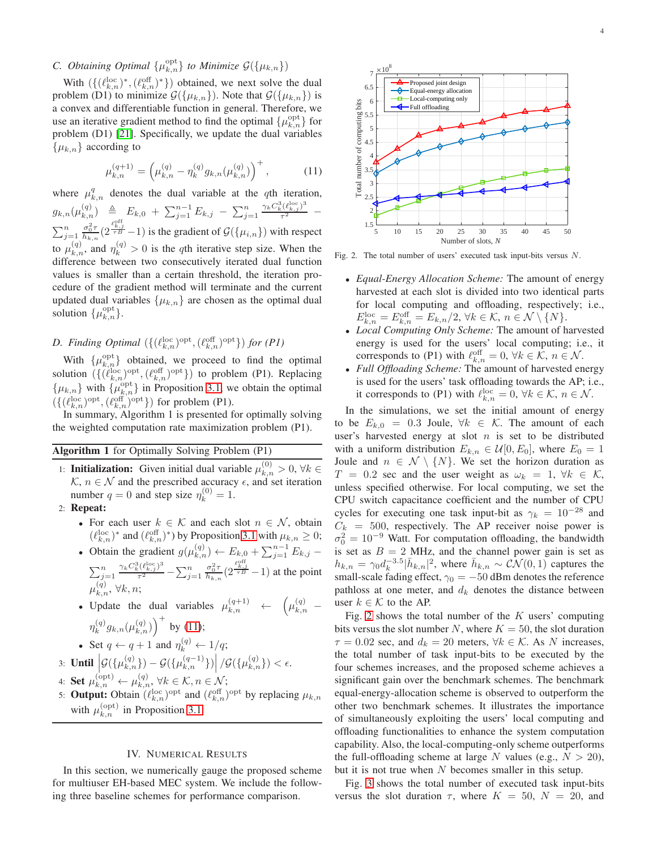# *C. Obtaining Optimal*  $\{\mu_{k,n}^{\text{opt}}\}$  *to Minimize*  $\mathcal{G}(\{\mu_{k,n}\})$

With  $(\{(\ell_{k,n}^{\text{loc}})^*, (\ell_{k,n}^{\text{off}})^*\})$  obtained, we next solve the dual problem (D1) to minimize  $\mathcal{G}(\{\mu_{k,n}\})$ . Note that  $\mathcal{G}(\{\mu_{k,n}\})$  is a convex and differentiable function in general. Therefore, we use an iterative gradient method to find the optimal  $\{\mu_{k,n}^{\text{opt}}\}$  for problem (D1) [\[21\]](#page-4-13). Specifically, we update the dual variables  $\{\mu_{k,n}\}\$ according to

$$
\mu_{k,n}^{(q+1)} = \left(\mu_{k,n}^{(q)} - \eta_k^{(q)} g_{k,n}(\mu_{k,n}^{(q)})\right)^+, \tag{11}
$$

where  $\mu_{k,n}^q$  denotes the dual variable at the qth iteration,  $g_{k,n}(\mu_{k,n}^{(q)}) \triangleq E_{k,0} + \sum_{j=1}^{n-1} E_{k,j} - \sum_{j=1}^{n}$  $\gamma_k C_k^3 (\ell_{k,j}^{\mathrm{loc}})^3$  $rac{\tau^{k}(j)}{\tau^{2}}$  –  $\sum_{j=1}^n$  $\sigma_0^2 \tau$  $\frac{\sigma_0^2 \tau}{h_{k,n}} (2^{\frac{\ell_{k,j}^{\text{off}}}{\tau B}} - 1)$  is the gradient of  $\mathcal{G}(\{\mu_{i,n}\})$  with respect to  $\mu_{k,n}^{(q)}$ , and  $\eta_k^{(q)} > 0$  is the qth iterative step size. When the difference between two consecutively iterated dual function values is smaller than a certain threshold, the iteration procedure of the gradient method will terminate and the current updated dual variables  $\{\mu_{k,n}\}$  are chosen as the optimal dual solution  $\{\mu_{k,n}^{\text{opt}}\}.$ 

# D. Finding Optimal  $(\{(\ell_{k,n}^{\text{loc}})^{\text{opt}}, (\ell_{k,n}^{\text{off}})^{\text{opt}}\})$  for  $(PI)$

With  $\{\mu_{k,n}^{\text{opt}}\}$  obtained, we proceed to find the optimal solution  $(\{(\ell_{k,n}^{\text{loc}})^{\text{opt}}, (\ell_{k,n}^{\text{off}})^{\text{opt}}\})$  to problem (P1). Replacing  $\{\mu_{k,n}\}\right\}$  with  $\{\mu_{k,n}^{\text{opt}}\}\right)$  in Proposition [3.1,](#page-2-6) we obtain the optimal  $(\{(\ell_{k,n}^{\text{loc}})^{\text{opt}}, (\ell_{k,n}^{\text{off}})^{\text{opt}}\})$  for problem (P1).

In summary, Algorithm 1 is presented for optimally solving the weighted computation rate maximization problem (P1).

# Algorithm 1 for Optimally Solving Problem (P1)

- 1: **Initialization:** Given initial dual variable  $\mu_{k,n}^{(0)} > 0$ ,  $\forall k \in$  $\mathcal{K}, n \in \mathcal{N}$  and the prescribed accuracy  $\epsilon$ , and set iteration number  $q = 0$  and step size  $\eta_k^{(0)} = 1$ .
- 2: Repeat:
	- For each user  $k \in \mathcal{K}$  and each slot  $n \in \mathcal{N}$ , obtain  $(\ell_{k,n}^{\text{loc}})^*$  and  $(\ell_{k,n}^{\text{off}})^*$ ) by Proposition [3.1](#page-2-6) with  $\mu_{k,n} \geq 0$ ;
	- Obtain the gradient  $g(\mu_{k,n}^{(q)}) \leftarrow E_{k,0} + \sum_{j=1}^{n-1} E_{k,j}$   $\sum_{j=1}^n$  $\gamma_k C_k^3 (\ell_{k,j}^{\mathrm{loc}})^3$  $\frac{\sum_{j=1}^{n} (l_{k,j}^{\text{loc}})^3}{\tau^2} - \sum_{j=1}^{n}$  $\sigma_0^2 \tau$  $\frac{\sigma_0^2 \tau}{h_{k,n}} (2^{\frac{\ell_{k,j}^{\text{off}}}{\tau B}} - 1)$  at the point  $\mu_{k,n}^{(q)},\, \forall k,n;$
	- Update the dual variables  $\mu_{k,n}^{(q+1)} \leftarrow (\mu_{k,n}^{(q)} \eta_k^{(q)}$  $\int_k^{(q)} g_{k,n}(\mu_{k,n}^{(q)})\Big)^+$  by [\(11\)](#page-3-0);

• Set 
$$
q \leftarrow q + 1
$$
 and  $\eta_k^{(q)} \leftarrow 1/q$ ;

3: Until  $\left| \mathcal{G}(\{\mu_{k,n}^{(q)}\}) - \mathcal{G}(\{\mu_{k,n}^{(q-1)}\}) \right| / \mathcal{G}(\{\mu_{k,n}^{(q)}\}) < \epsilon.$ 

- 4: Set  $\mu_{k,n}^{(\text{opt})} \leftarrow \mu_{k,n}^{(q)}, \forall k \in \mathcal{K}, n \in \mathcal{N};$
- 5: **Output:** Obtain  $(\ell_{k,n}^{\text{loc}})^\text{opt}$  and  $(\ell_{k,n}^{\text{off}})^\text{opt}$  by replacing  $\mu_{k,n}$ with  $\mu_{k,n}^{(\text{opt})}$  in Proposition [3.1.](#page-2-6)

## IV. NUMERICAL RESULTS

In this section, we numerically gauge the proposed scheme for multiuser EH-based MEC system. We include the following three baseline schemes for performance comparison.



<span id="page-3-0"></span>Fig. 2. The total number of users' executed task input-bits versus  $N$ .

- <span id="page-3-1"></span>• *Equal-Energy Allocation Scheme:* The amount of energy harvested at each slot is divided into two identical parts for local computing and offloading, respectively; i.e.,  $E_{k,n}^{\rm loc} = E_{k,n}^{\rm off} = E_{k,n}/2, \,\forall k \in \mathcal{K},\, n \in \mathcal{N} \setminus \{N\}.$
- *Local Computing Only Scheme:* The amount of harvested energy is used for the users' local computing; i.e., it corresponds to (P1) with  $\ell_{k,n}^{\text{off}} = 0, \forall k \in \mathcal{K}, n \in \mathcal{N}$ .
- *Full Offloading Scheme:* The amount of harvested energy is used for the users' task offloading towards the AP; i.e., it corresponds to (P1) with  $\ell_{k,n}^{\text{loc}} = 0, \forall k \in \mathcal{K}, n \in \mathcal{N}$ .

In the simulations, we set the initial amount of energy to be  $E_{k,0} = 0.3$  Joule,  $\forall k \in \mathcal{K}$ . The amount of each user's harvested energy at slot  $n$  is set to be distributed with a uniform distribution  $E_{k,n} \in \mathcal{U}[0, E_0]$ , where  $E_0 = 1$ Joule and  $n \in \mathcal{N} \setminus \{N\}$ . We set the horizon duration as  $T = 0.2$  sec and the user weight as  $\omega_k = 1$ ,  $\forall k \in \mathcal{K}$ , unless specified otherwise. For local computing, we set the CPU switch capacitance coefficient and the number of CPU cycles for executing one task input-bit as  $\gamma_k = 10^{-28}$  and  $C_k = 500$ , respectively. The AP receiver noise power is  $\sigma_0^2 = 10^{-9}$  Watt. For computation offloading, the bandwidth is set as  $B = 2$  MHz, and the channel power gain is set as  $h_{k,n} = \gamma_0 d_k^{-3.5} |\bar{h}_{k,n}|^2$ , where  $\bar{h}_{k,n} \sim \mathcal{CN}(0, 1)$  captures the small-scale fading effect,  $\gamma_0 = -50$  dBm denotes the reference pathloss at one meter, and  $d_k$  denotes the distance between user  $k \in \mathcal{K}$  to the AP.

Fig. [2](#page-3-1) shows the total number of the  $K$  users' computing bits versus the slot number N, where  $K = 50$ , the slot duration  $\tau = 0.02$  sec, and  $d_k = 20$  meters,  $\forall k \in \mathcal{K}$ . As N increases, the total number of task input-bits to be executed by the four schemes increases, and the proposed scheme achieves a significant gain over the benchmark schemes. The benchmark equal-energy-allocation scheme is observed to outperform the other two benchmark schemes. It illustrates the importance of simultaneously exploiting the users' local computing and offloading functionalities to enhance the system computation capability. Also, the local-computing-only scheme outperforms the full-offloading scheme at large N values (e.g.,  $N > 20$ ), but it is not true when  $N$  becomes smaller in this setup.

Fig. [3](#page-4-14) shows the total number of executed task input-bits versus the slot duration  $\tau$ , where  $K = 50$ ,  $N = 20$ , and